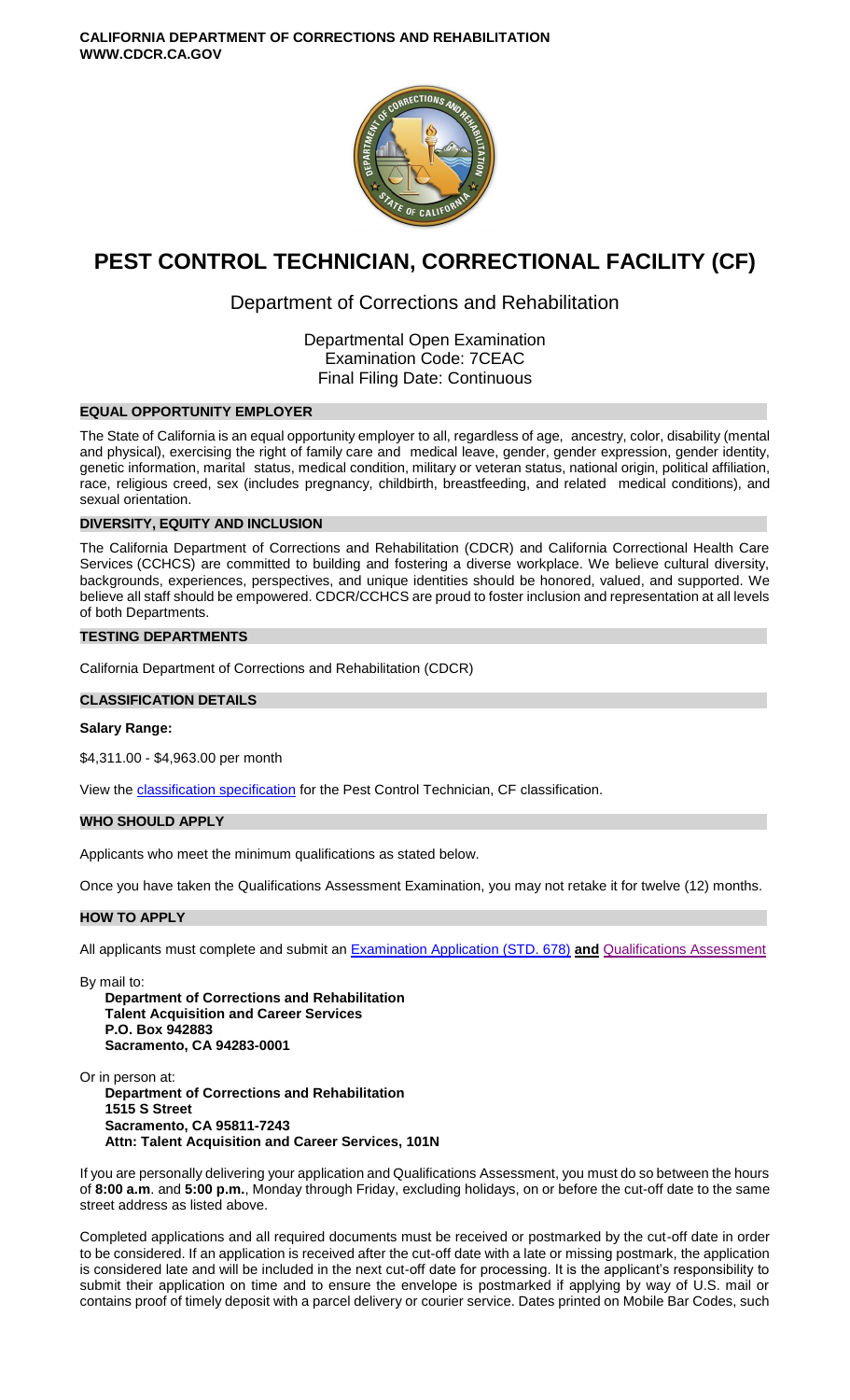

# **PEST CONTROL TECHNICIAN, CORRECTIONAL FACILITY (CF)**

# Department of Corrections and Rehabilitation

Departmental Open Examination Examination Code: 7CEAC Final Filing Date: Continuous

# **EQUAL OPPORTUNITY EMPLOYER**

The State of California is an equal opportunity employer to all, regardless of age, ancestry, color, disability (mental and physical), exercising the right of family care and medical leave, gender, gender expression, gender identity, genetic information, marital status, medical condition, military or veteran status, national origin, political affiliation, race, religious creed, sex (includes pregnancy, childbirth, breastfeeding, and related medical conditions), and sexual orientation.

# **DIVERSITY, EQUITY AND INCLUSION**

The California Department of Corrections and Rehabilitation (CDCR) and California Correctional Health Care Services (CCHCS) are committed to building and fostering a diverse workplace. We believe cultural diversity, backgrounds, experiences, perspectives, and unique identities should be honored, valued, and supported. We believe all staff should be empowered. CDCR/CCHCS are proud to foster inclusion and representation at all levels of both Departments.

# **TESTING DEPARTMENTS**

California Department of Corrections and Rehabilitation (CDCR)

### **CLASSIFICATION DETAILS**

# **Salary Range:**

\$4,311.00 - \$4,963.00 per month

View the [classification specification](http://www.calhr.ca.gov/state-hr-professionals/Pages/7199.aspx) for the Pest Control Technician, CF classification.

# **WHO SHOULD APPLY**

Applicants who meet the minimum qualifications as stated below.

Once you have taken the Qualifications Assessment Examination, you may not retake it for twelve (12) months.

# **HOW TO APPLY**

All applicants must complete and submit an [Examination Application \(STD. 678\)](https://jobs.ca.gov/pdf/STD678.pdf) **and** [Qualifications Assessment](https://www.cdcr.ca.gov/careers/wp-content/uploads/sites/164/2021/04/PestContTechCFQA-O-C.pdf)

By mail to:

**Department of Corrections and Rehabilitation Talent Acquisition and Career Services P.O. Box 942883 Sacramento, CA 94283-0001**

Or in person at: **Department of Corrections and Rehabilitation 1515 S Street Sacramento, CA 95811-7243 Attn: Talent Acquisition and Career Services, 101N**

If you are personally delivering your application and Qualifications Assessment, you must do so between the hours of **8:00 a.m**. and **5:00 p.m.**, Monday through Friday, excluding holidays, on or before the cut-off date to the same street address as listed above.

Completed applications and all required documents must be received or postmarked by the cut-off date in order to be considered. If an application is received after the cut-off date with a late or missing postmark, the application is considered late and will be included in the next cut-off date for processing. It is the applicant's responsibility to submit their application on time and to ensure the envelope is postmarked if applying by way of U.S. mail or contains proof of timely deposit with a parcel delivery or courier service. Dates printed on Mobile Bar Codes, such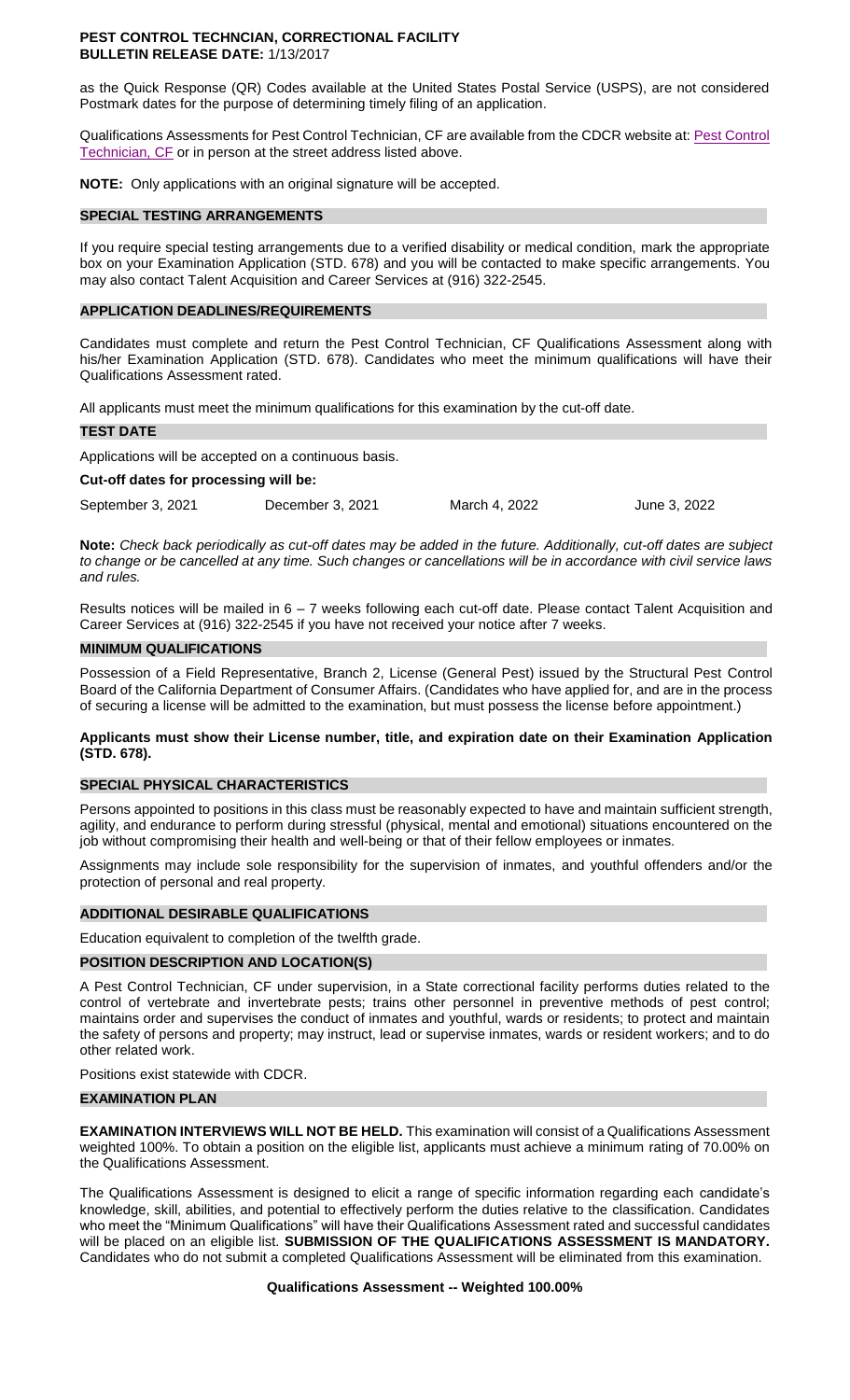#### **PEST CONTROL TECHNCIAN, CORRECTIONAL FACILITY BULLETIN RELEASE DATE:** 1/13/2017

as the Quick Response (QR) Codes available at the United States Postal Service (USPS), are not considered Postmark dates for the purpose of determining timely filing of an application.

Qualifications Assessments for Pest Control Technician, CF are available from the CDCR website at: [Pest Control](https://www.cdcr.ca.gov/careers/wp-content/uploads/sites/164/2021/04/PestContTechCFQA-O-C.pdf)  [Technician, CF](https://www.cdcr.ca.gov/careers/wp-content/uploads/sites/164/2021/04/PestContTechCFQA-O-C.pdf) or in person at the street address listed above.

**NOTE:** Only applications with an original signature will be accepted.

#### **SPECIAL TESTING ARRANGEMENTS**

If you require special testing arrangements due to a verified disability or medical condition, mark the appropriate box on your Examination Application (STD. 678) and you will be contacted to make specific arrangements. You may also contact Talent Acquisition and Career Services at (916) 322-2545.

#### **APPLICATION DEADLINES/REQUIREMENTS**

Candidates must complete and return the Pest Control Technician, CF Qualifications Assessment along with his/her Examination Application (STD. 678). Candidates who meet the minimum qualifications will have their Qualifications Assessment rated.

All applicants must meet the minimum qualifications for this examination by the cut-off date.

#### **TEST DATE**

Applications will be accepted on a continuous basis.

#### **Cut-off dates for processing will be:**

September 3, 2021 December 3, 2021 March 4, 2022 June 3, 2022

**Note:** *Check back periodically as cut-off dates may be added in the future. Additionally, cut-off dates are subject to change or be cancelled at any time. Such changes or cancellations will be in accordance with civil service laws and rules.*

Results notices will be mailed in 6 – 7 weeks following each cut-off date. Please contact Talent Acquisition and Career Services at (916) 322-2545 if you have not received your notice after 7 weeks.

#### **MINIMUM QUALIFICATIONS**

Possession of a Field Representative, Branch 2, License (General Pest) issued by the Structural Pest Control Board of the California Department of Consumer Affairs. (Candidates who have applied for, and are in the process of securing a license will be admitted to the examination, but must possess the license before appointment.)

#### **Applicants must show their License number, title, and expiration date on their Examination Application (STD. 678).**

#### **SPECIAL PHYSICAL CHARACTERISTICS**

Persons appointed to positions in this class must be reasonably expected to have and maintain sufficient strength, agility, and endurance to perform during stressful (physical, mental and emotional) situations encountered on the job without compromising their health and well-being or that of their fellow employees or inmates.

Assignments may include sole responsibility for the supervision of inmates, and youthful offenders and/or the protection of personal and real property.

#### **ADDITIONAL DESIRABLE QUALIFICATIONS**

Education equivalent to completion of the twelfth grade.

#### **POSITION DESCRIPTION AND LOCATION(S)**

A Pest Control Technician, CF under supervision, in a State correctional facility performs duties related to the control of vertebrate and invertebrate pests; trains other personnel in preventive methods of pest control; maintains order and supervises the conduct of inmates and youthful, wards or residents; to protect and maintain the safety of persons and property; may instruct, lead or supervise inmates, wards or resident workers; and to do other related work.

Positions exist statewide with CDCR.

#### **EXAMINATION PLAN**

**EXAMINATION INTERVIEWS WILL NOT BE HELD.** This examination will consist of a Qualifications Assessment weighted 100%. To obtain a position on the eligible list, applicants must achieve a minimum rating of 70.00% on the Qualifications Assessment.

The Qualifications Assessment is designed to elicit a range of specific information regarding each candidate's knowledge, skill, abilities, and potential to effectively perform the duties relative to the classification. Candidates who meet the "Minimum Qualifications" will have their Qualifications Assessment rated and successful candidates will be placed on an eligible list. **SUBMISSION OF THE QUALIFICATIONS ASSESSMENT IS MANDATORY.**  Candidates who do not submit a completed Qualifications Assessment will be eliminated from this examination.

#### **Qualifications Assessment -- Weighted 100.00%**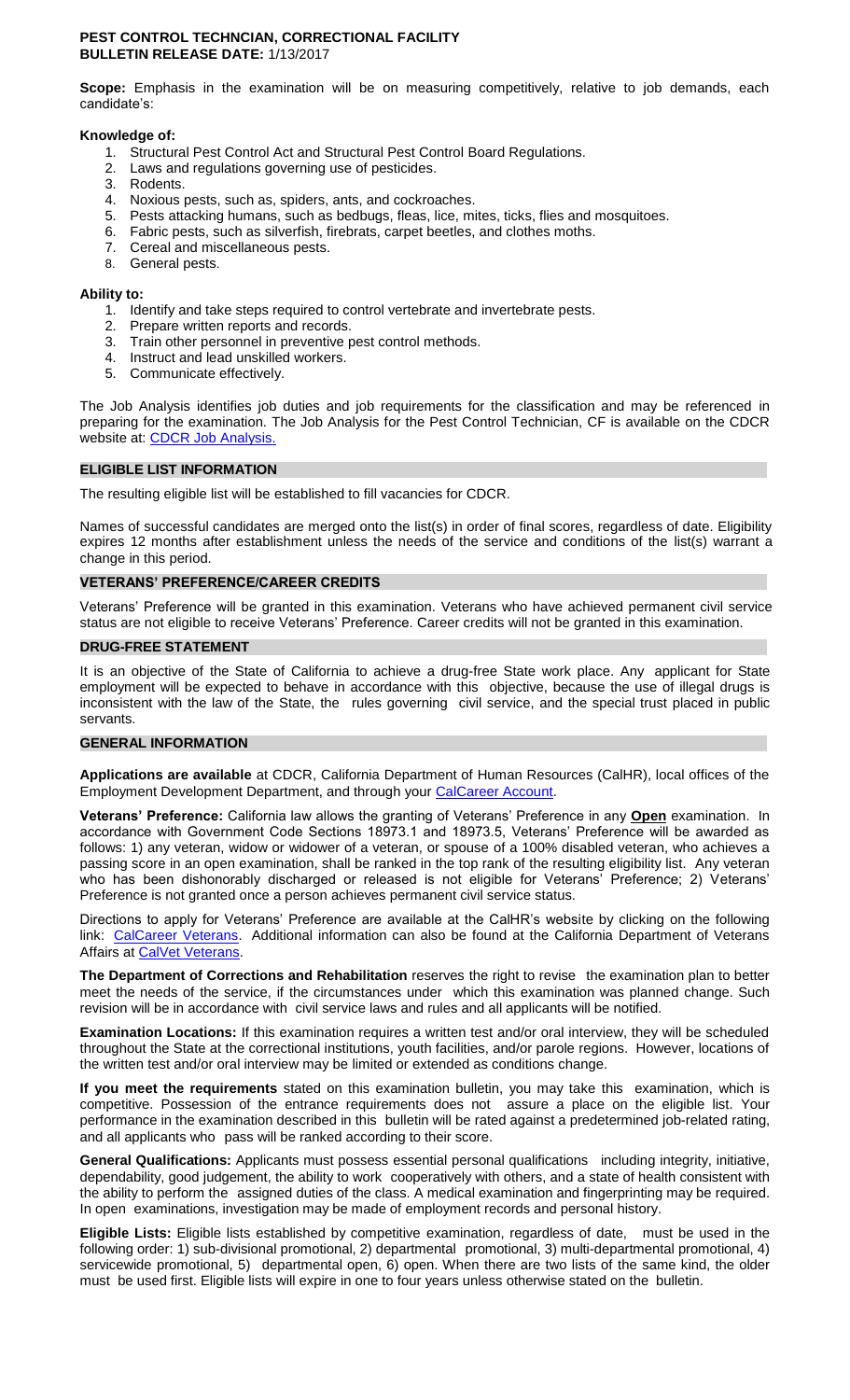#### **PEST CONTROL TECHNCIAN, CORRECTIONAL FACILITY BULLETIN RELEASE DATE:** 1/13/2017

**Scope:** Emphasis in the examination will be on measuring competitively, relative to job demands, each candidate's:

#### **Knowledge of:**

- 1. Structural Pest Control Act and Structural Pest Control Board Regulations.
- Laws and regulations governing use of pesticides. 2. Laws and<br>3. Rodents.
- 
- 4. Noxious pests, such as, spiders, ants, and cockroaches.
- 5. Pests attacking humans, such as bedbugs, fleas, lice, mites, ticks, flies and mosquitoes.
- 6. Fabric pests, such as silverfish, firebrats, carpet beetles, and clothes moths.
- 7. Cereal and miscellaneous pests.
- 8. General pests.

#### **Ability to:**

- 1. Identify and take steps required to control vertebrate and invertebrate pests.
- 2. Prepare written reports and records.
- 3. Train other personnel in preventive pest control methods.
- 4. Instruct and lead unskilled workers.
- 5. Communicate effectively.

The Job Analysis identifies job duties and job requirements for the classification and may be referenced in preparing for the examination. The Job Analysis for the Pest Control Technician, CF is available on the CDCR website at: [CDCR Job Analysis.](http://www.cdcr.ca.gov/Career_Opportunities/HR/OPS/Exams/Analysis/index.html)

# **ELIGIBLE LIST INFORMATION**

The resulting eligible list will be established to fill vacancies for CDCR.

Names of successful candidates are merged onto the list(s) in order of final scores, regardless of date. Eligibility expires 12 months after establishment unless the needs of the service and conditions of the list(s) warrant a change in this period.

#### **VETERANS' PREFERENCE/CAREER CREDITS**

Veterans' Preference will be granted in this examination. Veterans who have achieved permanent civil service status are not eligible to receive Veterans' Preference. Career credits will not be granted in this examination.

#### **DRUG-FREE STATEMENT**

It is an objective of the State of California to achieve a drug-free State work place. Any applicant for State employment will be expected to behave in accordance with this objective, because the use of illegal drugs is inconsistent with the law of the State, the rules governing civil service, and the special trust placed in public servants.

#### **GENERAL INFORMATION**

**Applications are available** at CDCR, California Department of Human Resources (CalHR), local offices of the Employment Development Department, and through your [CalCareer Account.](https://www.jobs.ca.gov/)

**Veterans' Preference:** California law allows the granting of Veterans' Preference in any **Open** examination. In accordance with Government Code Sections 18973.1 and 18973.5, Veterans' Preference will be awarded as follows: 1) any veteran, widow or widower of a veteran, or spouse of a 100% disabled veteran, who achieves a passing score in an open examination, shall be ranked in the top rank of the resulting eligibility list. Any veteran who has been dishonorably discharged or released is not eligible for Veterans' Preference; 2) Veterans' Preference is not granted once a person achieves permanent civil service status.

Directions to apply for Veterans' Preference are available at the CalHR's website by clicking on the following link: [CalCareer Veterans.](https://jobs.ca.gov/CalHRPublic/Landing/Veterans.aspx) Additional information can also be found at the California Department of Veterans Affairs at [CalVet Veterans.](http://www.calvet.ca.gov/veteran-services-benefits/employment)

**The Department of Corrections and Rehabilitation** reserves the right to revise the examination plan to better meet the needs of the service, if the circumstances under which this examination was planned change. Such revision will be in accordance with civil service laws and rules and all applicants will be notified.

**Examination Locations:** If this examination requires a written test and/or oral interview, they will be scheduled throughout the State at the correctional institutions, youth facilities, and/or parole regions. However, locations of the written test and/or oral interview may be limited or extended as conditions change.

**If you meet the requirements** stated on this examination bulletin, you may take this examination, which is competitive. Possession of the entrance requirements does not assure a place on the eligible list. Your performance in the examination described in this bulletin will be rated against a predetermined job-related rating, and all applicants who pass will be ranked according to their score.

**General Qualifications:** Applicants must possess essential personal qualifications including integrity, initiative, dependability, good judgement, the ability to work cooperatively with others, and a state of health consistent with the ability to perform the assigned duties of the class. A medical examination and fingerprinting may be required. In open examinations, investigation may be made of employment records and personal history.

**Eligible Lists:** Eligible lists established by competitive examination, regardless of date, must be used in the following order: 1) sub-divisional promotional, 2) departmental promotional, 3) multi-departmental promotional, 4) servicewide promotional, 5) departmental open, 6) open. When there are two lists of the same kind, the older must be used first. Eligible lists will expire in one to four years unless otherwise stated on the bulletin.